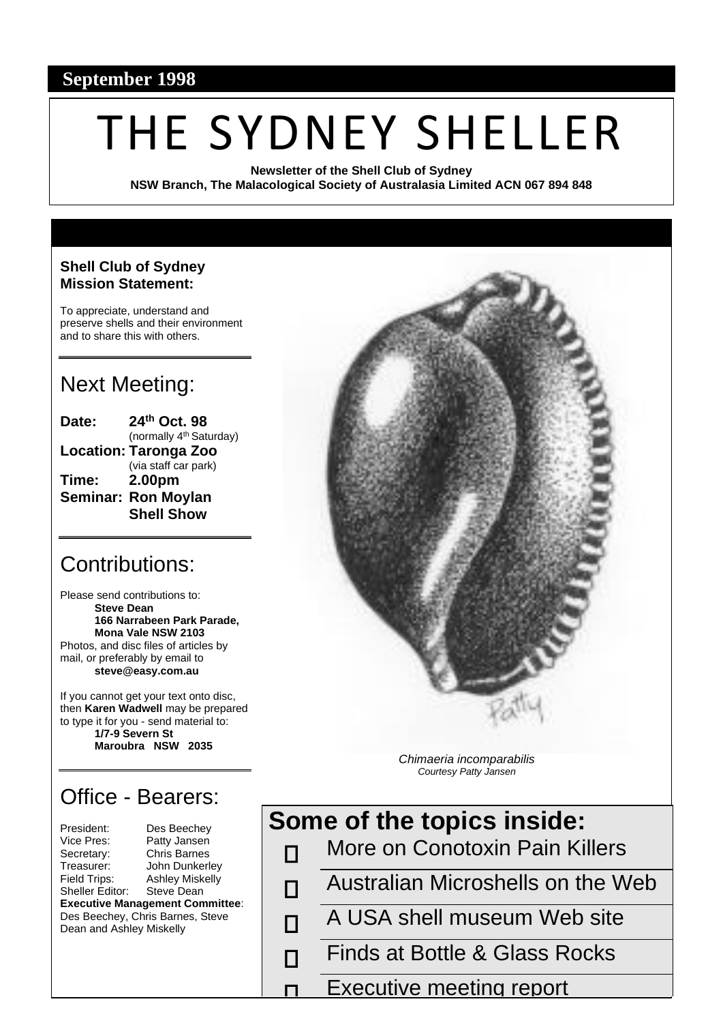#### **September 1998**

# THE SYDNEY SHELLER

**Newsletter of the Shell Club of Sydney NSW Branch, The Malacological Society of Australasia Limited ACN 067 894 848**

#### **Shell Club of Sydney Mission Statement:**

To appreciate, understand and preserve shells and their environment and to share this with others.

## Next Meeting:

| Date:                        | 24th Oct. 98                        |  |  |  |  |  |
|------------------------------|-------------------------------------|--|--|--|--|--|
|                              | (normally 4 <sup>th</sup> Saturday) |  |  |  |  |  |
| <b>Location: Taronga Zoo</b> |                                     |  |  |  |  |  |
|                              | (via staff car park)                |  |  |  |  |  |
| Time:                        | 2.00pm                              |  |  |  |  |  |
|                              | <b>Seminar: Ron Moylan</b>          |  |  |  |  |  |
|                              | <b>Shell Show</b>                   |  |  |  |  |  |

### Contributions:

Please send contributions to: **Steve Dean 166 Narrabeen Park Parade, Mona Vale NSW 2103** Photos, and disc files of articles by mail, or preferably by email to **steve@easy.com.au**

If you cannot get your text onto disc, then **Karen Wadwell** may be prepared to type it for you - send material to: **1/7-9 Severn St Maroubra NSW 2035**

# Office - Bearers:

| President:                             | Des Beechev            |  |  |  |  |
|----------------------------------------|------------------------|--|--|--|--|
| Vice Pres:                             | Patty Jansen           |  |  |  |  |
| Secretary:                             | <b>Chris Barnes</b>    |  |  |  |  |
| Treasurer:                             | John Dunkerley         |  |  |  |  |
| Field Trips:                           | <b>Ashley Miskelly</b> |  |  |  |  |
| Sheller Editor:                        | Steve Dean             |  |  |  |  |
| <b>Executive Management Committee:</b> |                        |  |  |  |  |
| Des Beechey, Chris Barnes, Steve       |                        |  |  |  |  |
| Dean and Ashley Miskelly               |                        |  |  |  |  |
|                                        |                        |  |  |  |  |

П

П



More on Conotoxin Pain Killers П

*Chimaeria incomparabilis Courtesy Patty Jansen*

- Australian Microshells on the Web П
	- A USA shell museum Web site
		- Finds at Bottle & Glass Rocks
		- Executive meeting report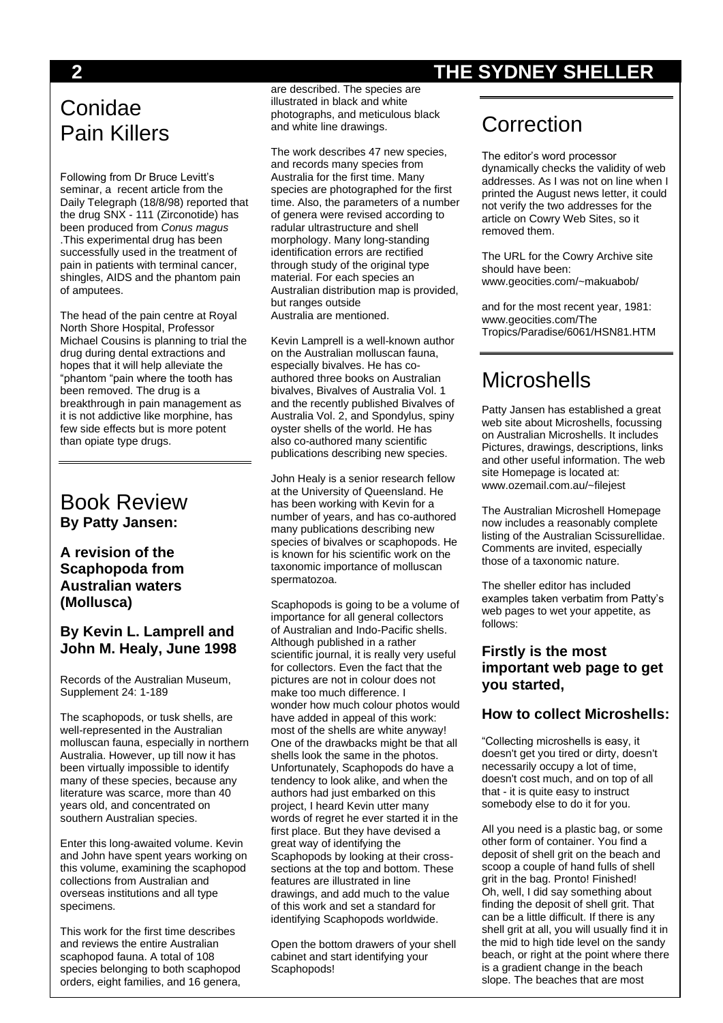# Conidae Pain Killers

Following from Dr Bruce Levitt's seminar, a recent article from the Daily Telegraph (18/8/98) reported that the drug SNX - 111 (Zirconotide) has been produced from *Conus magus* .This experimental drug has been successfully used in the treatment of pain in patients with terminal cancer, shingles, AIDS and the phantom pain of amputees.

The head of the pain centre at Royal North Shore Hospital, Professor Michael Cousins is planning to trial the drug during dental extractions and hopes that it will help alleviate the "phantom "pain where the tooth has been removed. The drug is a breakthrough in pain management as it is not addictive like morphine, has few side effects but is more potent than opiate type drugs.

#### Book Review **By Patty Jansen:**

#### **A revision of the Scaphopoda from Australian waters (Mollusca)**

#### **By Kevin L. Lamprell and John M. Healy, June 1998**

Records of the Australian Museum, Supplement 24: 1-189

The scaphopods, or tusk shells, are well-represented in the Australian molluscan fauna, especially in northern Australia. However, up till now it has been virtually impossible to identify many of these species, because any literature was scarce, more than 40 years old, and concentrated on southern Australian species.

Enter this long-awaited volume. Kevin and John have spent years working on this volume, examining the scaphopod collections from Australian and overseas institutions and all type specimens.

This work for the first time describes and reviews the entire Australian scaphopod fauna. A total of 108 species belonging to both scaphopod orders, eight families, and 16 genera,

are described. The species are illustrated in black and white photographs, and meticulous black and white line drawings.

The work describes 47 new species, and records many species from Australia for the first time. Many species are photographed for the first time. Also, the parameters of a number of genera were revised according to radular ultrastructure and shell morphology. Many long-standing identification errors are rectified through study of the original type material. For each species an Australian distribution map is provided, but ranges outside Australia are mentioned.

Kevin Lamprell is a well-known author on the Australian molluscan fauna, especially bivalves. He has coauthored three books on Australian bivalves, Bivalves of Australia Vol. 1 and the recently published Bivalves of Australia Vol. 2, and Spondylus, spiny oyster shells of the world. He has also co-authored many scientific publications describing new species.

John Healy is a senior research fellow at the University of Queensland. He has been working with Kevin for a number of years, and has co-authored many publications describing new species of bivalves or scaphopods. He is known for his scientific work on the taxonomic importance of molluscan spermatozoa.

Scaphopods is going to be a volume of importance for all general collectors of Australian and Indo-Pacific shells. Although published in a rather scientific journal, it is really very useful for collectors. Even the fact that the pictures are not in colour does not make too much difference. I wonder how much colour photos would have added in appeal of this work: most of the shells are white anyway! One of the drawbacks might be that all shells look the same in the photos. Unfortunately, Scaphopods do have a tendency to look alike, and when the authors had just embarked on this project, I heard Kevin utter many words of regret he ever started it in the first place. But they have devised a great way of identifying the Scaphopods by looking at their crosssections at the top and bottom. These features are illustrated in line drawings, and add much to the value of this work and set a standard for identifying Scaphopods worldwide.

Open the bottom drawers of your shell cabinet and start identifying your Scaphopods!

## **2 THE SYDNEY SHELLER**

# **Correction**

The editor's word processor dynamically checks the validity of web addresses. As I was not on line when I printed the August news letter, it could not verify the two addresses for the article on Cowry Web Sites, so it removed them.

The URL for the Cowry Archive site should have been: www.geocities.com/~makuabob/

and for the most recent year, 1981: www.geocities.com/The Tropics/Paradise/6061/HSN81.HTM

# **Microshells**

Patty Jansen has established a great web site about Microshells, focussing on Australian Microshells. It includes Pictures, drawings, descriptions, links and other useful information. The web site Homepage is located at: www.ozemail.com.au/~filejest

The Australian Microshell Homepage now includes a reasonably complete listing of the Australian Scissurellidae. Comments are invited, especially those of a taxonomic nature.

The sheller editor has included examples taken verbatim from Patty's web pages to wet your appetite, as follows:

#### **Firstly is the most important web page to get you started,**

#### **How to collect Microshells:**

"Collecting microshells is easy, it doesn't get you tired or dirty, doesn't necessarily occupy a lot of time, doesn't cost much, and on top of all that - it is quite easy to instruct somebody else to do it for you.

All you need is a plastic bag, or some other form of container. You find a deposit of shell grit on the beach and scoop a couple of hand fulls of shell grit in the bag. Pronto! Finished! Oh, well, I did say something about finding the deposit of shell grit. That can be a little difficult. If there is any shell grit at all, you will usually find it in the mid to high tide level on the sandy beach, or right at the point where there is a gradient change in the beach slope. The beaches that are most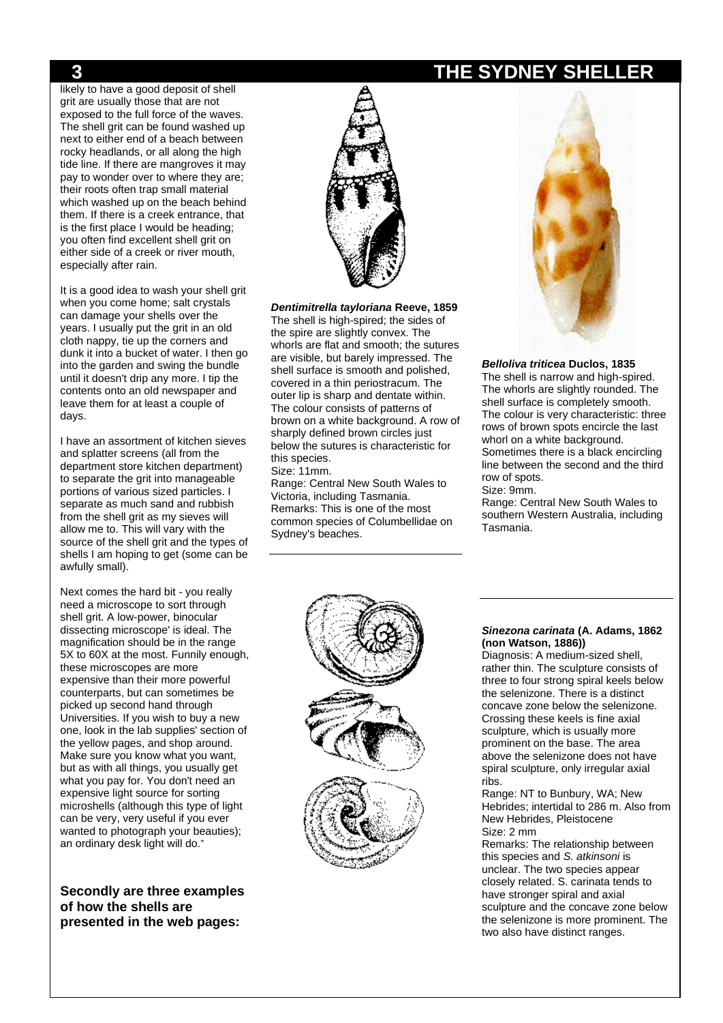likely to have a good deposit of shell grit are usually those that are not exposed to the full force of the waves. The shell grit can be found washed up next to either end of a beach between rocky headlands, or all along the high tide line. If there are mangroves it may pay to wonder over to where they are; their roots often trap small material which washed up on the beach behind them. If there is a creek entrance, that is the first place I would be heading; you often find excellent shell grit on either side of a creek or river mouth, especially after rain.

It is a good idea to wash your shell grit when you come home; salt crystals can damage your shells over the years. I usually put the grit in an old cloth nappy, tie up the corners and dunk it into a bucket of water. I then go into the garden and swing the bundle until it doesn't drip any more. I tip the contents onto an old newspaper and leave them for at least a couple of days.

I have an assortment of kitchen sieves and splatter screens (all from the department store kitchen department) to separate the grit into manageable portions of various sized particles. I separate as much sand and rubbish from the shell grit as my sieves will allow me to. This will vary with the source of the shell grit and the types of shells I am hoping to get (some can be awfully small).

Next comes the hard bit - you really need a microscope to sort through shell grit. A low-power, binocular dissecting microscope' is ideal. The magnification should be in the range 5X to 60X at the most. Funnily enough, these microscopes are more expensive than their more powerful counterparts, but can sometimes be picked up second hand through Universities. If you wish to buy a new one, look in the lab supplies' section of the yellow pages, and shop around. Make sure you know what you want, but as with all things, you usually get what you pay for. You don't need an expensive light source for sorting microshells (although this type of light can be very, very useful if you ever wanted to photograph your beauties); an ordinary desk light will do."

**Secondly are three examples of how the shells are presented in the web pages:**



*Dentimitrella tayloriana* **Reeve, 1859**

The shell is high-spired; the sides of the spire are slightly convex. The whorls are flat and smooth; the sutures are visible, but barely impressed. The shell surface is smooth and polished, covered in a thin periostracum. The outer lip is sharp and dentate within. The colour consists of patterns of brown on a white background. A row of sharply defined brown circles just below the sutures is characteristic for this species.

Size: 11mm.

Range: Central New South Wales to Victoria, including Tasmania. Remarks: This is one of the most common species of Columbellidae on Sydney's beaches.



*Belloliva triticea* **Duclos, 1835** The shell is narrow and high-spired. The whorls are slightly rounded. The shell surface is completely smooth. The colour is very characteristic: three rows of brown spots encircle the last whorl on a white background. Sometimes there is a black encircling line between the second and the third row of spots.

Size: 9mm.

Range: Central New South Wales to southern Western Australia, including Tasmania.



#### *Sinezona carinata* **(A. Adams, 1862 (non Watson, 1886))**

Diagnosis: A medium-sized shell, rather thin. The sculpture consists of three to four strong spiral keels below the selenizone. There is a distinct concave zone below the selenizone. Crossing these keels is fine axial sculpture, which is usually more prominent on the base. The area above the selenizone does not have spiral sculpture, only irregular axial ribs.

Range: NT to Bunbury, WA; New Hebrides; intertidal to 286 m. Also from New Hebrides, Pleistocene Size: 2 mm

Remarks: The relationship between this species and *S. atkinsoni* is unclear. The two species appear closely related. S. carinata tends to have stronger spiral and axial sculpture and the concave zone below the selenizone is more prominent. The two also have distinct ranges.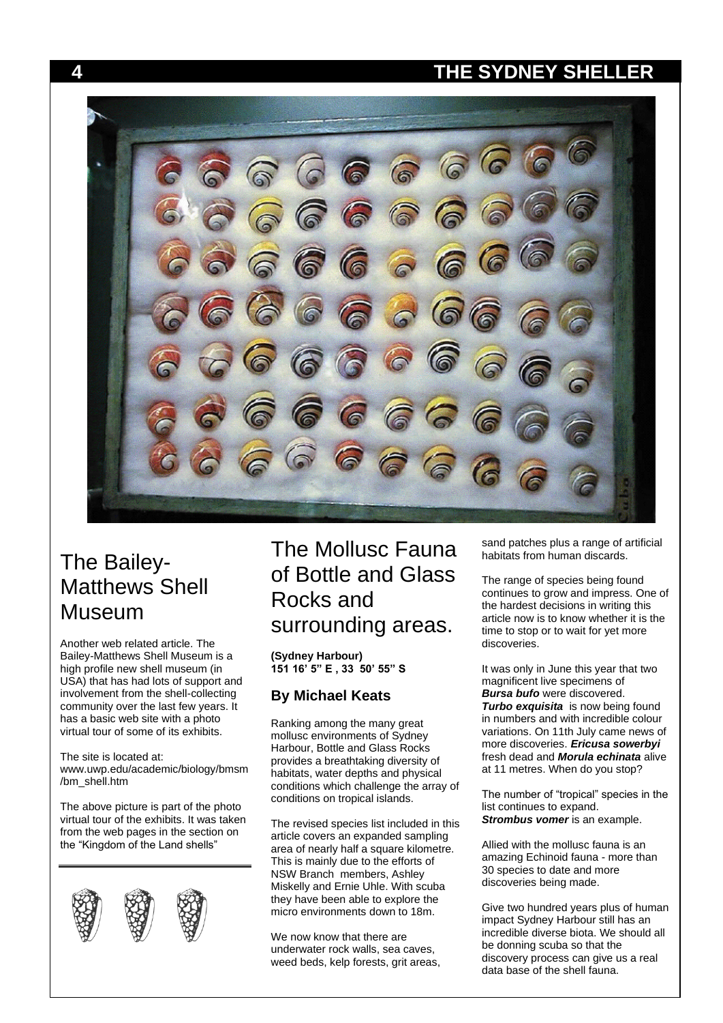

# The Bailey-Matthews Shell Museum

Another web related article. The Bailey-Matthews Shell Museum is a high profile new shell museum (in USA) that has had lots of support and involvement from the shell-collecting community over the last few years. It has a basic web site with a photo virtual tour of some of its exhibits.

The site is located at: www.uwp.edu/academic/biology/bmsm /bm\_shell.htm

The above picture is part of the photo virtual tour of the exhibits. It was taken from the web pages in the section on the "Kingdom of the Land shells"



# The Mollusc Fauna of Bottle and Glass Rocks and surrounding areas.

**(Sydney Harbour) 151 16' 5" E , 33 50' 55" S**

#### **By Michael Keats**

Ranking among the many great mollusc environments of Sydney Harbour, Bottle and Glass Rocks provides a breathtaking diversity of habitats, water depths and physical conditions which challenge the array of conditions on tropical islands.

The revised species list included in this article covers an expanded sampling area of nearly half a square kilometre. This is mainly due to the efforts of NSW Branch members, Ashley Miskelly and Ernie Uhle. With scuba they have been able to explore the micro environments down to 18m.

We now know that there are underwater rock walls, sea caves, weed beds, kelp forests, grit areas, sand patches plus a range of artificial habitats from human discards.

The range of species being found continues to grow and impress. One of the hardest decisions in writing this article now is to know whether it is the time to stop or to wait for yet more discoveries.

It was only in June this year that two magnificent live specimens of *Bursa bufo* were discovered. **Turbo exquisita** is now being found in numbers and with incredible colour variations. On 11th July came news of more discoveries. *Ericusa sowerbyi* fresh dead and *Morula echinata* alive at 11 metres. When do you stop?

The number of "tropical" species in the list continues to expand. *Strombus vomer* is an example.

Allied with the mollusc fauna is an amazing Echinoid fauna - more than 30 species to date and more discoveries being made.

Give two hundred years plus of human impact Sydney Harbour still has an incredible diverse biota. We should all be donning scuba so that the discovery process can give us a real data base of the shell fauna.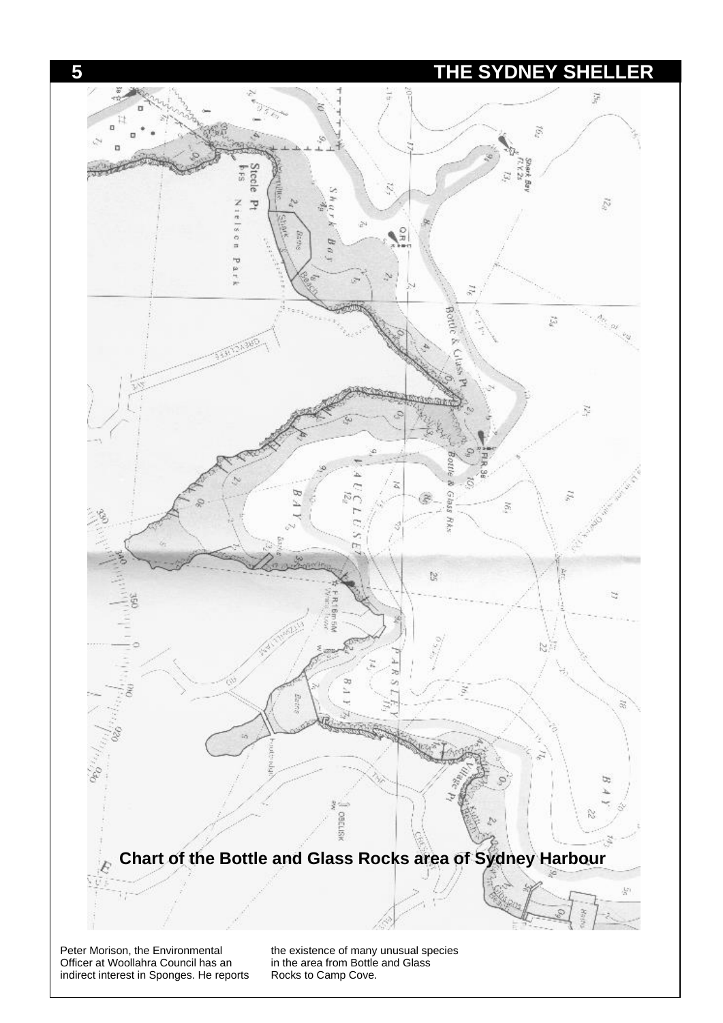

Peter Morison, the Environmental Officer at Woollahra Council has an indirect interest in Sponges. He reports the existence of many unusual species in the area from Bottle and Glass Rocks to Camp Cove.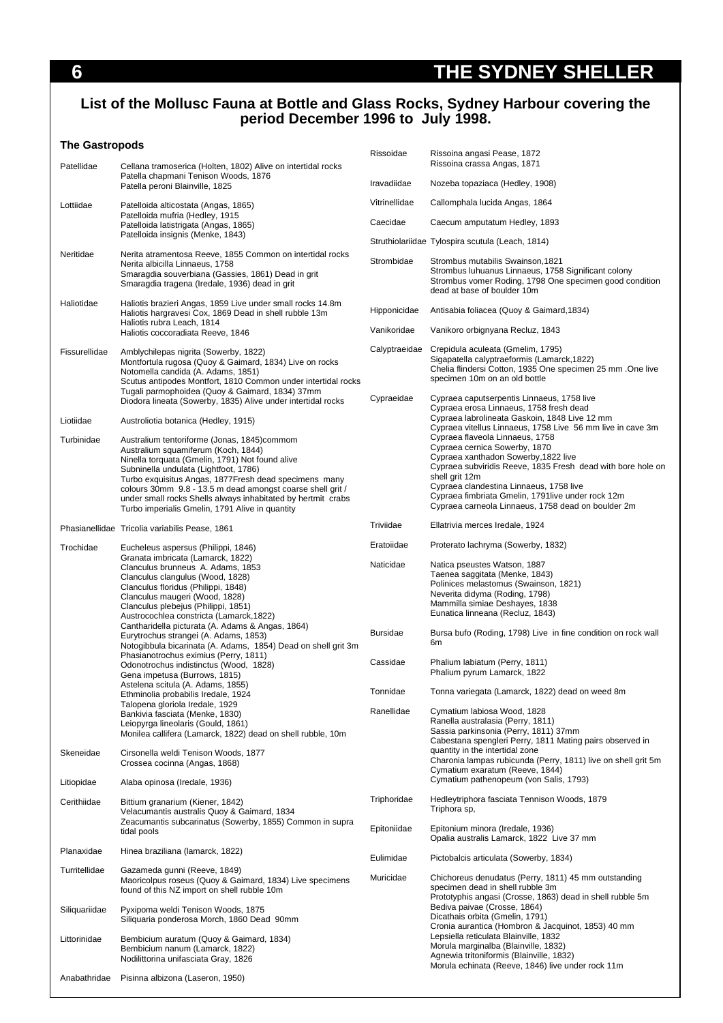#### **List of the Mollusc Fauna at Bottle and Glass Rocks, Sydney Harbour covering the period December 1996 to July 1998.**

#### **The Gastropods**

| Patellidae              | Cellana tramoserica (Holten, 1802) Alive on intertidal rocks                                                                                                                                                                                                                                                                                                                                                                                                      | Rissoidae                   | Rissoina angasi Pease, 1872<br>Rissoina crassa Angas, 1871                                                                                                                                                                                                                                                                                                                                                    |
|-------------------------|-------------------------------------------------------------------------------------------------------------------------------------------------------------------------------------------------------------------------------------------------------------------------------------------------------------------------------------------------------------------------------------------------------------------------------------------------------------------|-----------------------------|---------------------------------------------------------------------------------------------------------------------------------------------------------------------------------------------------------------------------------------------------------------------------------------------------------------------------------------------------------------------------------------------------------------|
|                         | Patella chapmani Tenison Woods, 1876<br>Patella peroni Blainville, 1825                                                                                                                                                                                                                                                                                                                                                                                           | Iravadiidae                 | Nozeba topaziaca (Hedley, 1908)                                                                                                                                                                                                                                                                                                                                                                               |
| Lottiidae               | Patelloida alticostata (Angas, 1865)                                                                                                                                                                                                                                                                                                                                                                                                                              | Vitrinellidae               | Callomphala lucida Angas, 1864                                                                                                                                                                                                                                                                                                                                                                                |
|                         | Patelloida mufria (Hedley, 1915<br>Patelloida latistrigata (Angas, 1865)                                                                                                                                                                                                                                                                                                                                                                                          | Caecidae                    | Caecum amputatum Hedley, 1893                                                                                                                                                                                                                                                                                                                                                                                 |
|                         | Patelloida insignis (Menke, 1843)                                                                                                                                                                                                                                                                                                                                                                                                                                 |                             | Struthiolariidae Tylospira scutula (Leach, 1814)                                                                                                                                                                                                                                                                                                                                                              |
| Neritidae               | Nerita atramentosa Reeve, 1855 Common on intertidal rocks<br>Nerita albicilla Linnaeus, 1758<br>Smaragdia souverbiana (Gassies, 1861) Dead in grit<br>Smaragdia tragena (Iredale, 1936) dead in grit                                                                                                                                                                                                                                                              | Strombidae                  | Strombus mutabilis Swainson, 1821<br>Strombus Iuhuanus Linnaeus, 1758 Significant colony<br>Strombus vomer Roding, 1798 One specimen good condition<br>dead at base of boulder 10m                                                                                                                                                                                                                            |
| Haliotidae              | Haliotis brazieri Angas, 1859 Live under small rocks 14.8m<br>Haliotis hargravesi Cox, 1869 Dead in shell rubble 13m<br>Haliotis rubra Leach, 1814                                                                                                                                                                                                                                                                                                                | Hipponicidae                | Antisabia foliacea (Quoy & Gaimard, 1834)                                                                                                                                                                                                                                                                                                                                                                     |
|                         | Haliotis coccoradiata Reeve, 1846                                                                                                                                                                                                                                                                                                                                                                                                                                 | Vanikoridae                 | Vanikoro orbignyana Recluz, 1843                                                                                                                                                                                                                                                                                                                                                                              |
| Fissurellidae           | Amblychilepas nigrita (Sowerby, 1822)<br>Montfortula rugosa (Quoy & Gaimard, 1834) Live on rocks<br>Notomella candida (A. Adams, 1851)<br>Scutus antipodes Montfort, 1810 Common under intertidal rocks<br>Tugali parmophoidea (Quoy & Gaimard, 1834) 37mm                                                                                                                                                                                                        | Calyptraeidae<br>Cypraeidae | Crepidula aculeata (Gmelim, 1795)<br>Sigapatella calyptraeformis (Lamarck, 1822)<br>Chelia flindersi Cotton, 1935 One specimen 25 mm .One live<br>specimen 10m on an old bottle<br>Cypraea caputserpentis Linnaeus, 1758 live                                                                                                                                                                                 |
|                         | Diodora lineata (Sowerby, 1835) Alive under intertidal rocks                                                                                                                                                                                                                                                                                                                                                                                                      |                             | Cypraea erosa Linnaeus, 1758 fresh dead<br>Cypraea labrolineata Gaskoin, 1848 Live 12 mm                                                                                                                                                                                                                                                                                                                      |
| Liotiidae<br>Turbinidae | Austroliotia botanica (Hedley, 1915)<br>Australium tentoriforme (Jonas, 1845)commom<br>Australium squamiferum (Koch, 1844)<br>Ninella torquata (Gmelin, 1791) Not found alive<br>Subninella undulata (Lightfoot, 1786)<br>Turbo exquisitus Angas, 1877 Fresh dead specimens many<br>colours 30mm 9.8 - 13.5 m dead amongst coarse shell grit /<br>under small rocks Shells always inhabitated by hertmit crabs<br>Turbo imperialis Gmelin, 1791 Alive in quantity |                             | Cypraea vitellus Linnaeus, 1758 Live 56 mm live in cave 3m<br>Cypraea flaveola Linnaeus, 1758<br>Cypraea cernica Sowerby, 1870<br>Cypraea xanthadon Sowerby, 1822 live<br>Cypraea subviridis Reeve, 1835 Fresh dead with bore hole on<br>shell grit 12m<br>Cypraea clandestina Linnaeus, 1758 live<br>Cypraea fimbriata Gmelin, 1791live under rock 12m<br>Cypraea carneola Linnaeus, 1758 dead on boulder 2m |
|                         | Phasianellidae Tricolia variabilis Pease, 1861                                                                                                                                                                                                                                                                                                                                                                                                                    | Triviidae                   | Ellatrivia merces Iredale, 1924                                                                                                                                                                                                                                                                                                                                                                               |
| Trochidae               | Eucheleus aspersus (Philippi, 1846)<br>Granata imbricata (Lamarck, 1822)                                                                                                                                                                                                                                                                                                                                                                                          | Eratoiidae                  | Proterato lachryma (Sowerby, 1832)                                                                                                                                                                                                                                                                                                                                                                            |
|                         | Clanculus brunneus A. Adams, 1853<br>Clanculus clangulus (Wood, 1828)<br>Clanculus floridus (Philippi, 1848)<br>Clanculus maugeri (Wood, 1828)<br>Clanculus plebejus (Philippi, 1851)<br>Austrocochlea constricta (Lamarck, 1822)                                                                                                                                                                                                                                 | Naticidae                   | Natica pseustes Watson, 1887<br>Taenea saggitata (Menke, 1843)<br>Polinices melastomus (Swainson, 1821)<br>Neverita didyma (Roding, 1798)<br>Mammilla simiae Deshayes, 1838<br>Eunatica linneana (Recluz, 1843)                                                                                                                                                                                               |
|                         | Cantharidella picturata (A. Adams & Angas, 1864)<br>Eurytrochus strangei (A. Adams, 1853)<br>Notogibbula bicarinata (A. Adams, 1854) Dead on shell grit 3m                                                                                                                                                                                                                                                                                                        | <b>Bursidae</b>             | Bursa bufo (Roding, 1798) Live in fine condition on rock wall<br>6m                                                                                                                                                                                                                                                                                                                                           |
|                         | Phasianotrochus eximius (Perry, 1811)<br>Odonotrochus indistinctus (Wood, 1828)<br>Gena impetusa (Burrows, 1815)                                                                                                                                                                                                                                                                                                                                                  | Cassidae                    | Phalium labiatum (Perry, 1811)<br>Phalium pyrum Lamarck, 1822                                                                                                                                                                                                                                                                                                                                                 |
|                         | Astelena scitula (A. Adams, 1855)<br>Ethminolia probabilis Iredale, 1924                                                                                                                                                                                                                                                                                                                                                                                          | Tonnidae                    | Tonna variegata (Lamarck, 1822) dead on weed 8m                                                                                                                                                                                                                                                                                                                                                               |
|                         | Talopena gloriola Iredale, 1929<br>Bankivia fasciata (Menke, 1830)<br>Leiopyrga lineolaris (Gould, 1861)<br>Monilea callifera (Lamarck, 1822) dead on shell rubble, 10m                                                                                                                                                                                                                                                                                           | Ranellidae                  | Cymatium labiosa Wood, 1828<br>Ranella australasia (Perry, 1811)<br>Sassia parkinsonia (Perry, 1811) 37mm<br>Cabestana spengleri Perry, 1811 Mating pairs observed in                                                                                                                                                                                                                                         |
| Skeneidae               | Cirsonella weldi Tenison Woods, 1877<br>Crossea cocinna (Angas, 1868)                                                                                                                                                                                                                                                                                                                                                                                             |                             | quantity in the intertidal zone<br>Charonia lampas rubicunda (Perry, 1811) live on shell grit 5m<br>Cymatium exaratum (Reeve, 1844)<br>Cymatium pathenopeum (von Salis, 1793)                                                                                                                                                                                                                                 |
| Litiopidae              | Alaba opinosa (Iredale, 1936)                                                                                                                                                                                                                                                                                                                                                                                                                                     | Triphoridae                 | Hedleytriphora fasciata Tennison Woods, 1879                                                                                                                                                                                                                                                                                                                                                                  |
| Cerithiidae             | Bittium granarium (Kiener, 1842)<br>Velacumantis australis Quoy & Gaimard, 1834<br>Zeacumantis subcarinatus (Sowerby, 1855) Common in supra                                                                                                                                                                                                                                                                                                                       | Epitoniidae                 | Triphora sp,<br>Epitonium minora (Iredale, 1936)                                                                                                                                                                                                                                                                                                                                                              |
|                         | tidal pools                                                                                                                                                                                                                                                                                                                                                                                                                                                       |                             | Opalia australis Lamarck, 1822 Live 37 mm                                                                                                                                                                                                                                                                                                                                                                     |
| Planaxidae              | Hinea braziliana (lamarck, 1822)                                                                                                                                                                                                                                                                                                                                                                                                                                  | Eulimidae                   | Pictobalcis articulata (Sowerby, 1834)                                                                                                                                                                                                                                                                                                                                                                        |
| Turritellidae           | Gazameda gunni (Reeve, 1849)<br>Maoricolpus roseus (Quoy & Gaimard, 1834) Live specimens<br>found of this NZ import on shell rubble 10m                                                                                                                                                                                                                                                                                                                           | Muricidae                   | Chichoreus denudatus (Perry, 1811) 45 mm outstanding<br>specimen dead in shell rubble 3m<br>Prototyphis angasi (Crosse, 1863) dead in shell rubble 5m                                                                                                                                                                                                                                                         |
| Siliquariidae           | Pyxipoma weldi Tenison Woods, 1875<br>Siliquaria ponderosa Morch, 1860 Dead 90mm                                                                                                                                                                                                                                                                                                                                                                                  |                             | Bediva paivae (Crosse, 1864)<br>Dicathais orbita (Gmelin, 1791)<br>Cronia aurantica (Hombron & Jacquinot, 1853) 40 mm                                                                                                                                                                                                                                                                                         |
| Littorinidae            | Bembicium auratum (Quoy & Gaimard, 1834)<br>Bembicium nanum (Lamarck, 1822)<br>Nodilittorina unifasciata Gray, 1826                                                                                                                                                                                                                                                                                                                                               |                             | Lepsiella reticulata Blainville, 1832<br>Morula marginalba (Blainville, 1832)<br>Agnewia tritoniformis (Blainville, 1832)<br>Morula echinata (Reeve, 1846) live under rock 11m                                                                                                                                                                                                                                |
| Anabathridae            | Pisinna albizona (Laseron, 1950)                                                                                                                                                                                                                                                                                                                                                                                                                                  |                             |                                                                                                                                                                                                                                                                                                                                                                                                               |
|                         |                                                                                                                                                                                                                                                                                                                                                                                                                                                                   |                             |                                                                                                                                                                                                                                                                                                                                                                                                               |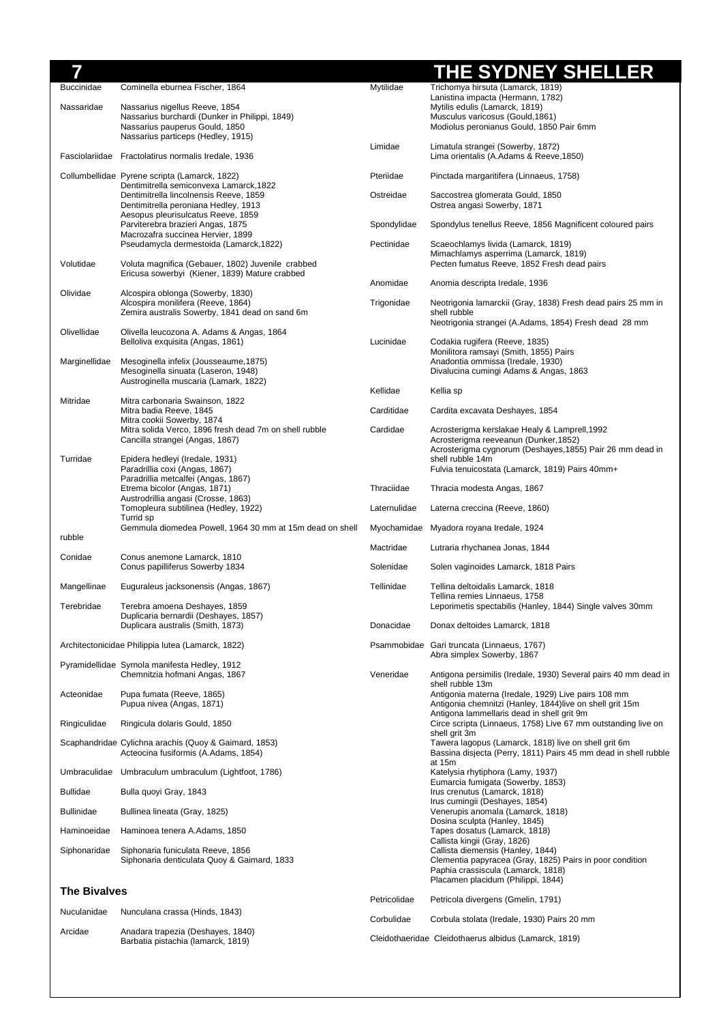| 7                   |                                                                                                                                                          |                                                                                                                                                                | <b>THE SYDNEY SHELLER</b>                                                                                                                                                                                 |
|---------------------|----------------------------------------------------------------------------------------------------------------------------------------------------------|----------------------------------------------------------------------------------------------------------------------------------------------------------------|-----------------------------------------------------------------------------------------------------------------------------------------------------------------------------------------------------------|
| <b>Buccinidae</b>   | Cominella eburnea Fischer, 1864                                                                                                                          | Mytilidae                                                                                                                                                      | Trichomya hirsuta (Lamarck, 1819)<br>Lanistina impacta (Hermann, 1782)                                                                                                                                    |
| Nassaridae          | Nassarius nigellus Reeve, 1854<br>Nassarius burchardi (Dunker in Philippi, 1849)<br>Nassarius pauperus Gould, 1850<br>Nassarius particeps (Hedley, 1915) |                                                                                                                                                                | Mytilis edulis (Lamarck, 1819)<br>Musculus varicosus (Gould, 1861)<br>Modiolus peronianus Gould, 1850 Pair 6mm                                                                                            |
|                     | Fasciolariidae Fractolatirus normalis Iredale, 1936                                                                                                      | Limidae                                                                                                                                                        | Limatula strangei (Sowerby, 1872)<br>Lima orientalis (A.Adams & Reeve, 1850)                                                                                                                              |
|                     | Collumbellidae Pyrene scripta (Lamarck, 1822)                                                                                                            | Pteriidae                                                                                                                                                      | Pinctada margaritifera (Linnaeus, 1758)                                                                                                                                                                   |
|                     | Dentimitrella semiconvexa Lamarck, 1822<br>Dentimitrella lincolnensis Reeve, 1859<br>Dentimitrella peroniana Hedley, 1913                                | Ostreidae                                                                                                                                                      | Saccostrea glomerata Gould, 1850<br>Ostrea angasi Sowerby, 1871                                                                                                                                           |
|                     | Aesopus pleurisulcatus Reeve, 1859<br>Parviterebra brazieri Angas, 1875                                                                                  | Spondylidae                                                                                                                                                    | Spondylus tenellus Reeve, 1856 Magnificent coloured pairs                                                                                                                                                 |
|                     | Macrozafra succinea Hervier, 1899<br>Pseudamycla dermestoida (Lamarck, 1822)                                                                             | Pectinidae                                                                                                                                                     | Scaeochlamys livida (Lamarck, 1819)                                                                                                                                                                       |
| Volutidae           | Voluta magnifica (Gebauer, 1802) Juvenile crabbed<br>Ericusa sowerbyi (Kiener, 1839) Mature crabbed                                                      |                                                                                                                                                                | Mimachlamys asperrima (Lamarck, 1819)<br>Pecten fumatus Reeve, 1852 Fresh dead pairs                                                                                                                      |
| Olividae            | Alcospira oblonga (Sowerby, 1830)                                                                                                                        | Anomidae                                                                                                                                                       | Anomia descripta Iredale, 1936                                                                                                                                                                            |
|                     | Alcospira monilifera (Reeve, 1864)<br>Zemira australis Sowerby, 1841 dead on sand 6m                                                                     | Trigonidae                                                                                                                                                     | Neotrigonia lamarckii (Gray, 1838) Fresh dead pairs 25 mm in<br>shell rubble<br>Neotrigonia strangei (A.Adams, 1854) Fresh dead 28 mm                                                                     |
| Olivellidae         | Olivella leucozona A. Adams & Angas, 1864<br>Belloliva exquisita (Angas, 1861)                                                                           | Lucinidae                                                                                                                                                      | Codakia rugifera (Reeve, 1835)<br>Monilitora ramsayi (Smith, 1855) Pairs                                                                                                                                  |
| Marginellidae       | Mesoginella infelix (Jousseaume, 1875)<br>Mesoginella sinuata (Laseron, 1948)<br>Austroginella muscaria (Lamark, 1822)                                   |                                                                                                                                                                | Anadontia ommissa (Iredale, 1930)<br>Divalucina cumingi Adams & Angas, 1863                                                                                                                               |
| Mitridae            | Mitra carbonaria Swainson, 1822                                                                                                                          | Kellidae                                                                                                                                                       | Kellia sp                                                                                                                                                                                                 |
|                     | Mitra badia Reeve, 1845<br>Mitra cookii Sowerby, 1874                                                                                                    | Carditidae                                                                                                                                                     | Cardita excavata Deshayes, 1854                                                                                                                                                                           |
|                     | Mitra solida Verco, 1896 fresh dead 7m on shell rubble<br>Cancilla strangei (Angas, 1867)                                                                | Cardidae                                                                                                                                                       | Acrosterigma kerslakae Healy & Lamprell, 1992<br>Acrosterigma reeveanun (Dunker, 1852)<br>Acrosterigma cygnorum (Deshayes, 1855) Pair 26 mm dead in                                                       |
| Turridae            | Epidera hedleyi (Iredale, 1931)<br>Paradrillia coxi (Angas, 1867)                                                                                        |                                                                                                                                                                | shell rubble 14m<br>Fulvia tenuicostata (Lamarck, 1819) Pairs 40mm+                                                                                                                                       |
|                     | Paradrillia metcalfei (Angas, 1867)<br>Etrema bicolor (Angas, 1871)                                                                                      | Thraciidae                                                                                                                                                     | Thracia modesta Angas, 1867                                                                                                                                                                               |
|                     | Austrodrillia angasi (Crosse, 1863)<br>Tomopleura subtilinea (Hedley, 1922)                                                                              | Laternulidae                                                                                                                                                   | Laterna creccina (Reeve, 1860)                                                                                                                                                                            |
|                     | Turrid sp<br>Gemmula diomedea Powell, 1964 30 mm at 15m dead on shell                                                                                    |                                                                                                                                                                | Myochamidae Myadora royana Iredale, 1924                                                                                                                                                                  |
| rubble              |                                                                                                                                                          | Mactridae                                                                                                                                                      | Lutraria rhychanea Jonas, 1844                                                                                                                                                                            |
| Conidae             | Conus anemone Lamarck, 1810<br>Conus papilliferus Sowerby 1834                                                                                           | Solenidae                                                                                                                                                      | Solen vaginoides Lamarck, 1818 Pairs                                                                                                                                                                      |
| Mangellinae         | Euguraleus jacksonensis (Angas, 1867)                                                                                                                    | Tellinidae                                                                                                                                                     | Tellina deltoidalis Lamarck, 1818<br>Tellina remies Linnaeus, 1758                                                                                                                                        |
| Terebridae          | Terebra amoena Deshayes, 1859<br>Duplicaria bernardii (Deshayes, 1857)                                                                                   |                                                                                                                                                                | Leporimetis spectabilis (Hanley, 1844) Single valves 30mm                                                                                                                                                 |
|                     | Duplicara australis (Smith, 1873)                                                                                                                        | Donacidae                                                                                                                                                      | Donax deltoides Lamarck, 1818                                                                                                                                                                             |
|                     | Architectonicidae Philippia lutea (Lamarck, 1822)                                                                                                        |                                                                                                                                                                | Psammobidae Gari truncata (Linnaeus, 1767)<br>Abra simplex Sowerby, 1867                                                                                                                                  |
|                     | Pyramidellidae Syrnola manifesta Hedley, 1912<br>Chemnitzia hofmani Angas, 1867                                                                          | Veneridae                                                                                                                                                      | Antigona persimilis (Iredale, 1930) Several pairs 40 mm dead in<br>shell rubble 13m                                                                                                                       |
| Acteonidae          | Pupa fumata (Reeve, 1865)<br>Pupua nivea (Angas, 1871)                                                                                                   | Antigonia materna (Iredale, 1929) Live pairs 108 mm<br>Antigonia chemnitzi (Hanley, 1844) live on shell grit 15m<br>Antigona lammellaris dead in shell grit 9m |                                                                                                                                                                                                           |
| Ringiculidae        | Ringicula dolaris Gould, 1850                                                                                                                            |                                                                                                                                                                | Circe scripta (Linnaeus, 1758) Live 67 mm outstanding live on<br>shell grit 3m                                                                                                                            |
|                     | Scaphandridae Cylichna arachis (Quoy & Gaimard, 1853)<br>Acteocina fusiformis (A.Adams, 1854)                                                            |                                                                                                                                                                | Tawera lagopus (Lamarck, 1818) live on shell grit 6m<br>Bassina disjecta (Perry, 1811) Pairs 45 mm dead in shell rubble<br>at 15m                                                                         |
|                     | Umbraculidae Umbraculum umbraculum (Lightfoot, 1786)                                                                                                     |                                                                                                                                                                | Katelysia rhytiphora (Lamy, 1937)                                                                                                                                                                         |
| <b>Bullidae</b>     | Bulla quoyi Gray, 1843                                                                                                                                   |                                                                                                                                                                | Eumarcia fumigata (Sowerby, 1853)<br>Irus crenutus (Lamarck, 1818)                                                                                                                                        |
| <b>Bullinidae</b>   | Bullinea lineata (Gray, 1825)                                                                                                                            |                                                                                                                                                                | Irus cumingii (Deshayes, 1854)<br>Venerupis anomala (Lamarck, 1818)                                                                                                                                       |
| Haminoeidae         | Haminoea tenera A.Adams, 1850                                                                                                                            |                                                                                                                                                                | Dosina sculpta (Hanley, 1845)<br>Tapes dosatus (Lamarck, 1818)                                                                                                                                            |
| Siphonaridae        | Siphonaria funiculata Reeve, 1856<br>Siphonaria denticulata Quoy & Gaimard, 1833                                                                         |                                                                                                                                                                | Callista kingii (Gray, 1826)<br>Callista diemensis (Hanley, 1844)<br>Clementia papyracea (Gray, 1825) Pairs in poor condition<br>Paphia crassiscula (Lamarck, 1818)<br>Placamen placidum (Philippi, 1844) |
| <b>The Bivalves</b> |                                                                                                                                                          | Petricolidae                                                                                                                                                   | Petricola divergens (Gmelin, 1791)                                                                                                                                                                        |
| Nuculanidae         | Nunculana crassa (Hinds, 1843)                                                                                                                           | Corbulidae                                                                                                                                                     | Corbula stolata (Iredale, 1930) Pairs 20 mm                                                                                                                                                               |
| Arcidae             | Anadara trapezia (Deshayes, 1840)<br>Barbatia pistachia (lamarck, 1819)                                                                                  |                                                                                                                                                                | Cleidothaeridae Cleidothaerus albidus (Lamarck, 1819)                                                                                                                                                     |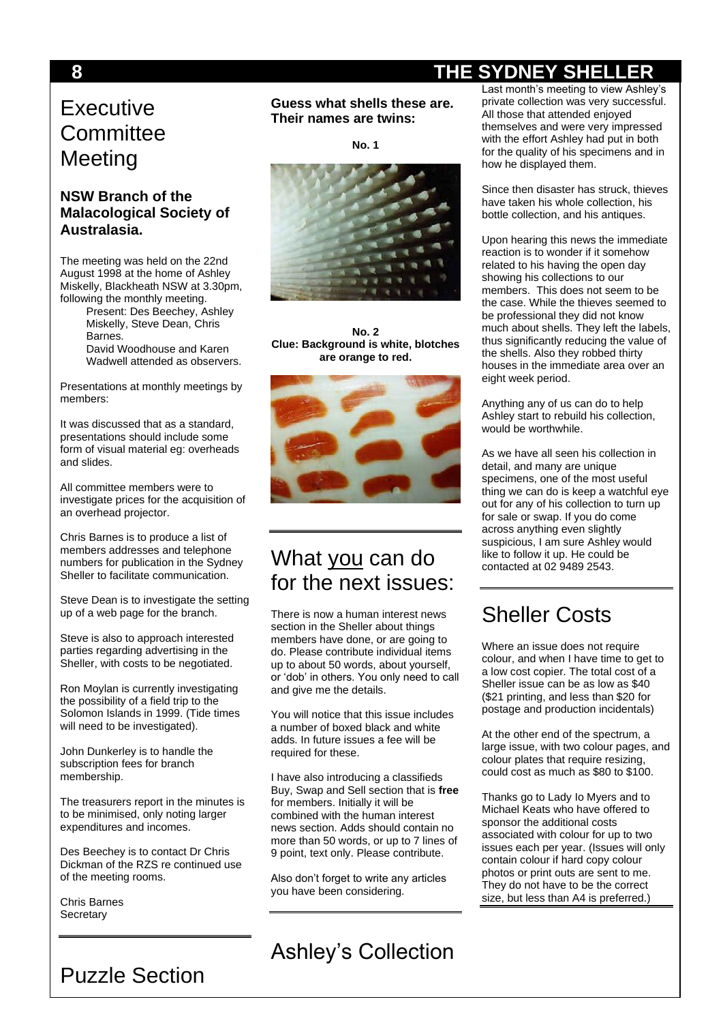# **Executive Committee Meeting**

#### **NSW Branch of the Malacological Society of Australasia.**

The meeting was held on the 22nd August 1998 at the home of Ashley Miskelly, Blackheath NSW at 3.30pm, following the monthly meeting.

Present: Des Beechey, Ashley Miskelly, Steve Dean, Chris Barnes. David Woodhouse and Karen

Wadwell attended as observers.

Presentations at monthly meetings by members:

It was discussed that as a standard, presentations should include some form of visual material eg: overheads and slides.

All committee members were to investigate prices for the acquisition of an overhead projector.

Chris Barnes is to produce a list of members addresses and telephone numbers for publication in the Sydney Sheller to facilitate communication.

Steve Dean is to investigate the setting up of a web page for the branch.

Steve is also to approach interested parties regarding advertising in the Sheller, with costs to be negotiated.

Ron Moylan is currently investigating the possibility of a field trip to the Solomon Islands in 1999. (Tide times will need to be investigated).

John Dunkerley is to handle the subscription fees for branch membership.

The treasurers report in the minutes is to be minimised, only noting larger expenditures and incomes.

Des Beechey is to contact Dr Chris Dickman of the RZS re continued use of the meeting rooms.

Puzzle Section

Chris Barnes **Secretary** 

**Guess what shells these are. Their names are twins:**

**No. 1**



**No. 2 Clue: Background is white, blotches are orange to red.**



### What you can do for the next issues:

There is now a human interest news section in the Sheller about things members have done, or are going to do. Please contribute individual items up to about 50 words, about yourself, or 'dob' in others. You only need to call and give me the details.

You will notice that this issue includes a number of boxed black and white adds. In future issues a fee will be required for these.

I have also introducing a classifieds Buy, Swap and Sell section that is **free** for members. Initially it will be combined with the human interest news section. Adds should contain no more than 50 words, or up to 7 lines of 9 point, text only. Please contribute.

Also don't forget to write any articles you have been considering.

Ashley's Collection

Last month's meeting to view Ashley's private collection was very successful. All those that attended enjoyed themselves and were very impressed with the effort Ashley had put in both for the quality of his specimens and in how he displayed them.

Since then disaster has struck, thieves have taken his whole collection, his bottle collection, and his antiques.

Upon hearing this news the immediate reaction is to wonder if it somehow related to his having the open day showing his collections to our members. This does not seem to be the case. While the thieves seemed to be professional they did not know much about shells. They left the labels, thus significantly reducing the value of the shells. Also they robbed thirty houses in the immediate area over an eight week period.

Anything any of us can do to help Ashley start to rebuild his collection, would be worthwhile.

As we have all seen his collection in detail, and many are unique specimens, one of the most useful thing we can do is keep a watchful eye out for any of his collection to turn up for sale or swap. If you do come across anything even slightly suspicious, I am sure Ashley would like to follow it up. He could be contacted at 02 9489 2543.

# Sheller Costs

Where an issue does not require colour, and when I have time to get to a low cost copier. The total cost of a Sheller issue can be as low as \$40 (\$21 printing, and less than \$20 for postage and production incidentals)

At the other end of the spectrum, a large issue, with two colour pages, and colour plates that require resizing, could cost as much as \$80 to \$100.

Thanks go to Lady Io Myers and to Michael Keats who have offered to sponsor the additional costs associated with colour for up to two issues each per year. (Issues will only contain colour if hard copy colour photos or print outs are sent to me. They do not have to be the correct size, but less than A4 is preferred.)